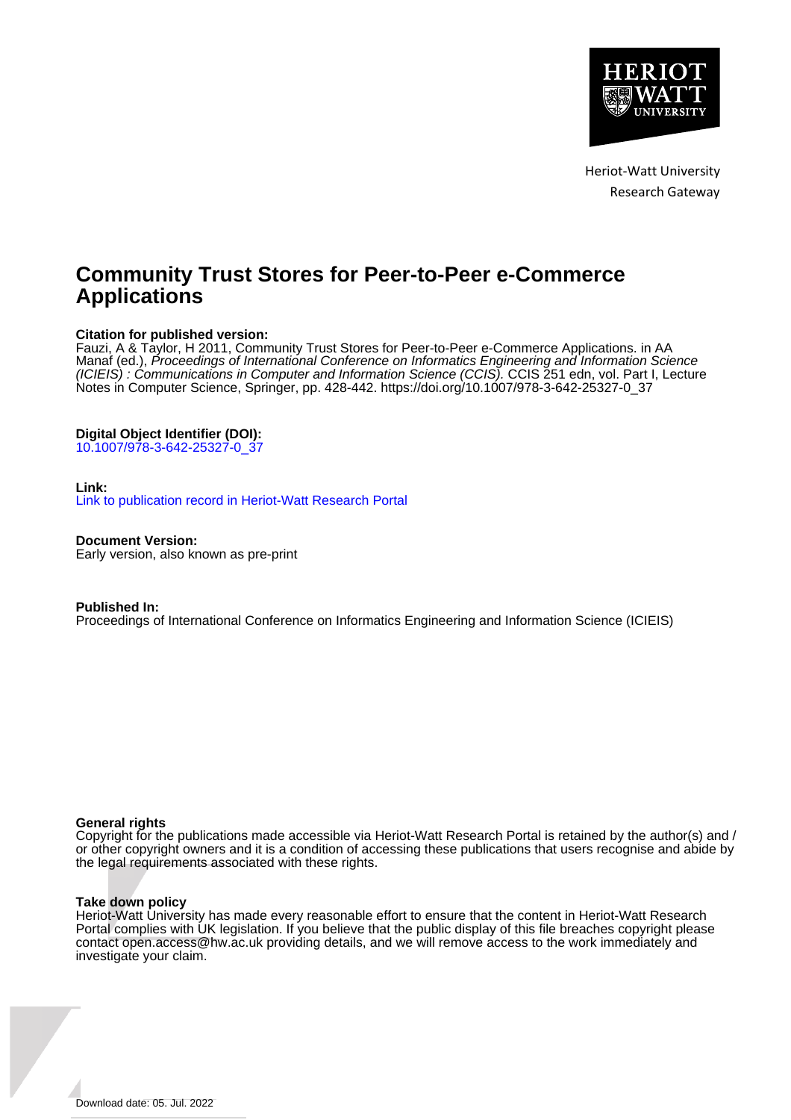

Heriot-Watt University Research Gateway

# **Community Trust Stores for Peer-to-Peer e-Commerce Applications**

## **Citation for published version:**

Fauzi, A & Taylor, H 2011, Community Trust Stores for Peer-to-Peer e-Commerce Applications. in AA Manaf (ed.), Proceedings of International Conference on Informatics Engineering and Information Science (ICIEIS) : Communications in Computer and Information Science (CCIS). CCIS 251 edn, vol. Part I, Lecture Notes in Computer Science, Springer, pp. 428-442. [https://doi.org/10.1007/978-3-642-25327-0\\_37](https://doi.org/10.1007/978-3-642-25327-0_37)

# **Digital Object Identifier (DOI):**

[10.1007/978-3-642-25327-0\\_37](https://doi.org/10.1007/978-3-642-25327-0_37)

### **Link:**

[Link to publication record in Heriot-Watt Research Portal](https://researchportal.hw.ac.uk/en/publications/d027a4ce-821f-460f-bc77-87360da236ea)

**Document Version:**

Early version, also known as pre-print

### **Published In:**

Proceedings of International Conference on Informatics Engineering and Information Science (ICIEIS)

### **General rights**

Copyright for the publications made accessible via Heriot-Watt Research Portal is retained by the author(s) and / or other copyright owners and it is a condition of accessing these publications that users recognise and abide by the legal requirements associated with these rights.

### **Take down policy**

Heriot-Watt University has made every reasonable effort to ensure that the content in Heriot-Watt Research Portal complies with UK legislation. If you believe that the public display of this file breaches copyright please contact open.access@hw.ac.uk providing details, and we will remove access to the work immediately and investigate your claim.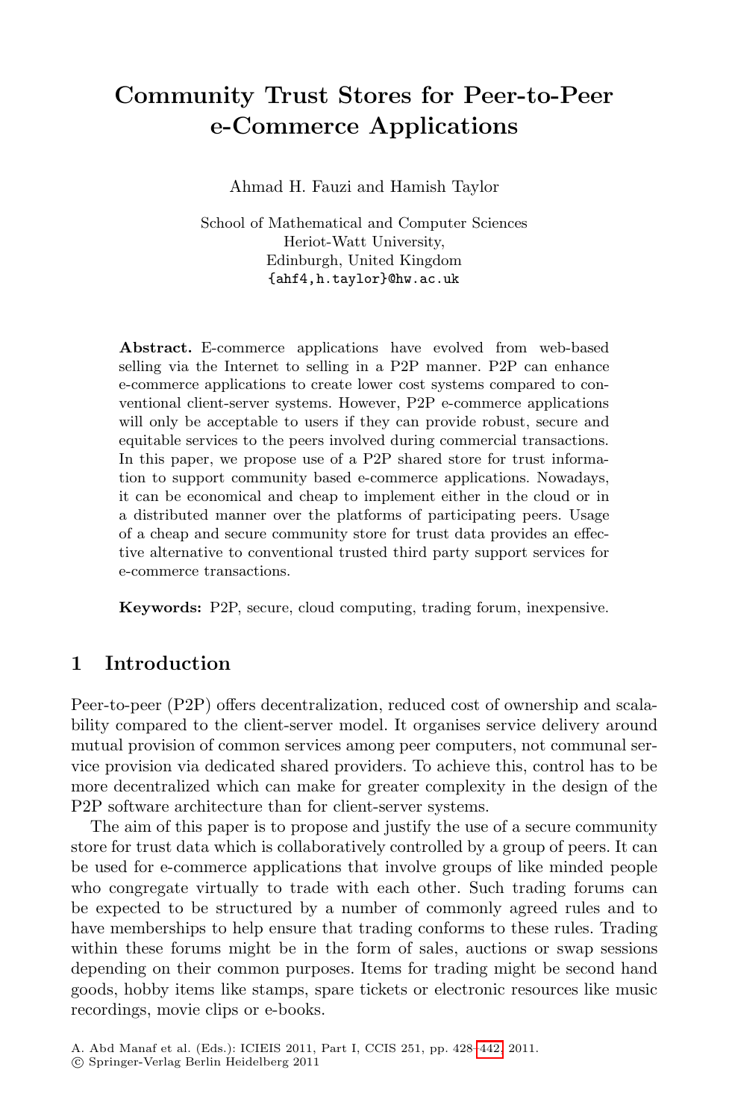# **Community Trust Stores for Peer-to-Peer e-Commerce Applications**

Ahmad H. Fauzi and Hamish Taylor

School of Mathematical and Computer Sciences Heriot-Watt University, Edinburgh, United Kingdom {ahf4,h.taylor}@hw.ac.uk

**Abstract.** E-commerce applications have evolved from web-based selling via the Internet to selling in a P2P manner. P2P can enhance e-commerce applications to create lower cost systems compared to conventional client-server systems. However, P2P e-commerce applications will only be acceptable to users if they can provide robust, secure and equitable services to the peers involved during commercial transactions. In this paper, we propose use of a P2P shared store for trust information to support community based e-commerce applications. Nowadays, it can be economical and cheap to implement either in the cloud or in a distributed manner over the platforms of participating peers. Usage of a cheap and secure community store for trust data provides an effective alternative to conventional trusted third party support services for e-commerce transactions.

**Keywords:** P2P, secure, cloud computing, trading forum, inexpensive.

# **1 Introduction**

Peer-to-peer (P2P) offers decentralization, reduced cost of ownership and scalability compared to the client-server model. It organises service delivery around mutual provision of common services among peer computers, not communal service provision via dedicated shared providers. To achieve this, control has to be more decentralized which can make for greater complexity in the design of the P2P software architecture than for client-server systems.

The aim of this paper is to propose and justify the use of a secure community store for trust data which is collaboratively controlled by a group of peers. It can be used for e-commerce applications that involve groups of like minded people who congregate virtually to trade [with](#page-15-0) each other. Such trading forums can be expected to be structured by a number of commonly agreed rules and to have memberships to help ensure that trading conforms to these rules. Trading within these forums might be in the form of sales, auctions or swap sessions depending on their common purposes. Items for trading might be second hand goods, hobby items like stamps, spare tickets or electronic resources like music recordings, movie clips or e-books.

A. Abd Manaf et al. (Eds.): ICIEIS 2011, Part I, CCIS 251, pp. 428–442, 2011.

<sup>-</sup>c Springer-Verlag Berlin Heidelberg 2011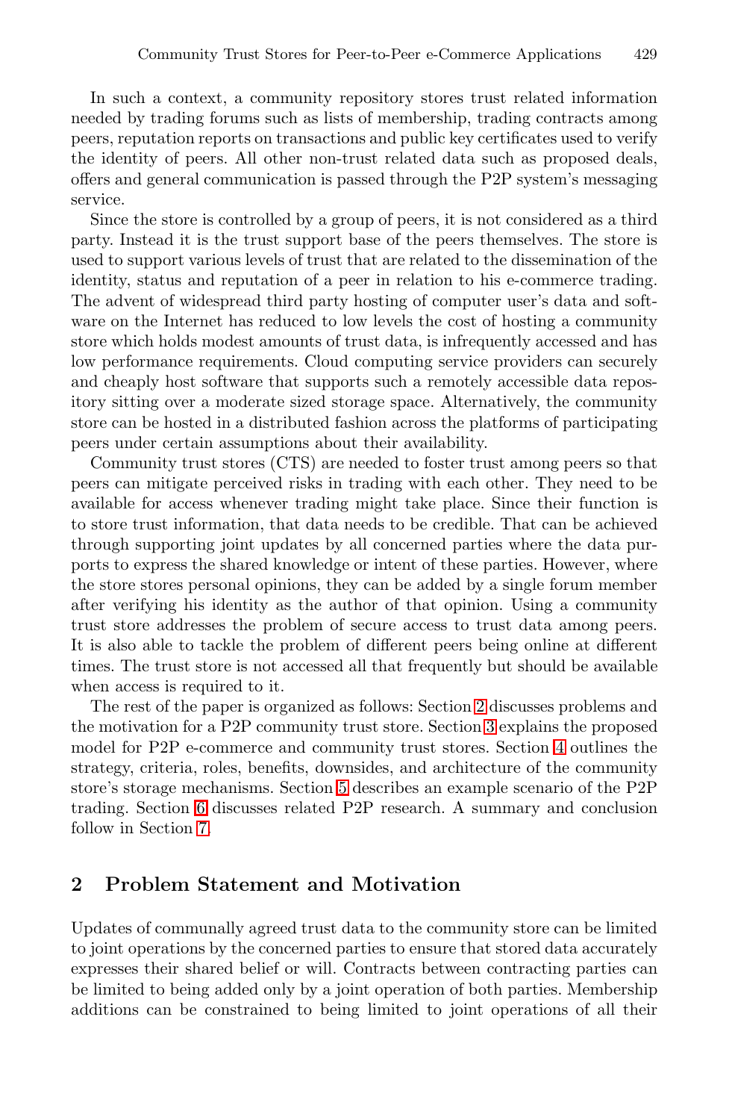In such a context, a community repository stores trust related information needed by trading forums such as lists of membership, trading contracts among peers, reputation reports on transactions and public key certificates used to verify the identity of peers. All other non-trust related data such as proposed deals, offers and general communication is passed through the P2P system's messaging service.

Since the store is controlled by a group of peers, it is not considered as a third party. Instead it is the trust support base of the peers themselves. The store is used to support various levels of trust that are related to the dissemination of the identity, status and reputation of a peer in relation to his e-commerce trading. The advent of widespread third party hosting of computer user's data and software on the Internet has reduced to low levels the cost of hosting a community store which holds modest amounts of trust data, is infrequently accessed and has low performance requirements. Cloud computing service providers can securely and cheaply host software that supports such a remotely accessible data repository sitting over a moderate sized storage space. Alternatively, the community store can be hosted in a distributed fashion across the platforms of participating peers under certain assumptions about their availability.

Community trust stores (CTS) are needed to foster trust among peers so that peers can mitigate perceived risks in trading with each other. They need to be available for access whenever trading might take place. Since their function is to store trust information, that data needs to be credible. That can be achieved through supporting joint updates b[y](#page-2-0) all concerned parties where the data purports to express the shared knowledg[e o](#page-3-0)r intent of these parties. However, where the store stores personal opinions, they can be [ad](#page-5-0)ded by a single forum member after verifying his identity as the author of that opinion. Using a community trust store addr[ess](#page-8-0)es the problem of secure access to trust data among peers. It is also able to tackle the problem of different peers being online at different times. The trust store is not accessed all that frequently but should be available when access is required to it.

<span id="page-2-0"></span>The rest of the paper is organized as follows: Section 2 discusses problems and the motivation for a P2P community trust store. Section 3 explains the proposed model for P2P e-commerce and community trust stores. Section 4 outlines the strategy, criteria, roles, benefits, downsides, and architecture of the community store's storage mechanisms. Section 5 describes an example scenario of the P2P trading. Section 6 discusses related P2P research. A summary and conclusion follow in Section 7.

# **2 Problem Statement and Motivation**

Updates of communally agreed trust data to the community store can be limited to joint operations by the concerned parties to ensure that stored data accurately expresses their shared belief or will. Contracts between contracting parties can be limited to being added only by a joint operation of both parties. Membership additions can be constrained to being limited to joint operations of all their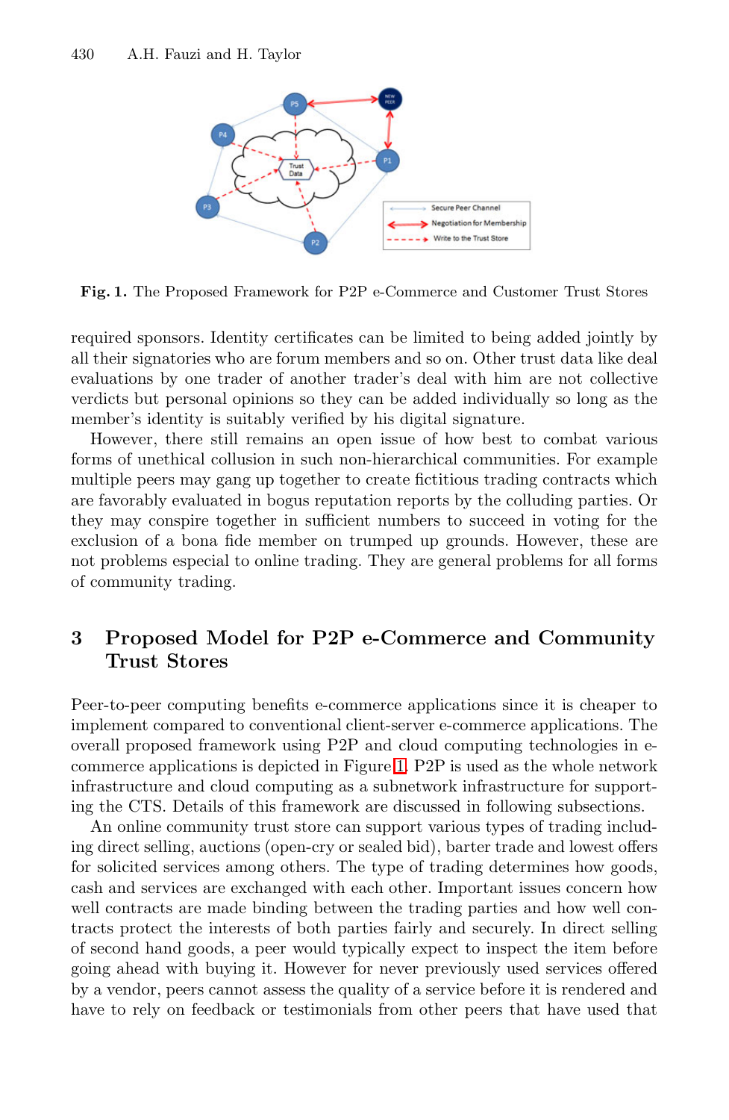

**Fig. 1.** The Proposed Framework for P2P e-Commerce and Customer Trust Stores

required sponsors. Identity certificates can be limited to being added jointly by all their signatories who are forum members and so on. Other trust data like deal evaluations by one trader of another trader's deal with him are not collective verdicts but personal opinions so they can be added individually so long as the member's identity is suitably verified by his digital signature.

<span id="page-3-0"></span>However, there still remains an open issue of how best to combat various forms of unethical collusion in such non-hierarchical communities. For example multiple peers may gang up together to create fictitious trading contracts which are favorably evaluated in bogus reputation reports by the colluding parties. Or they may conspire together in sufficient numbers to succeed in voting for the exclusion of a bona fide member on trumped up grounds. However, these are not problems especial to online trading. They are general problems for all forms of community trading.

# **3 Proposed Model for P2P e-Commerce and Community Trust Stores**

Peer-to-peer computing benefits e-commerce applications since it is cheaper to implement compared to conventional client-server e-commerce applications. The overall proposed framework using P2P and cloud computing technologies in ecommerce applications is depicted in Figure 1. P2P is used as the whole network infrastructure and cloud computing as a subnetwork infrastructure for supporting the CTS. Details of this framework are discussed in following subsections.

An online community trust store can support various types of trading including direct selling, auctions (open-cry or sealed bid), barter trade and lowest offers for solicited services among others. The type of trading determines how goods, cash and services are exchanged with each other. Important issues concern how well contracts are made binding between the trading parties and how well contracts protect the interests of both parties fairly and securely. In direct selling of second hand goods, a peer would typically expect to inspect the item before going ahead with buying it. However for never previously used services offered by a vendor, peers cannot assess the quality of a service before it is rendered and have to rely on feedback or testimonials from other peers that have used that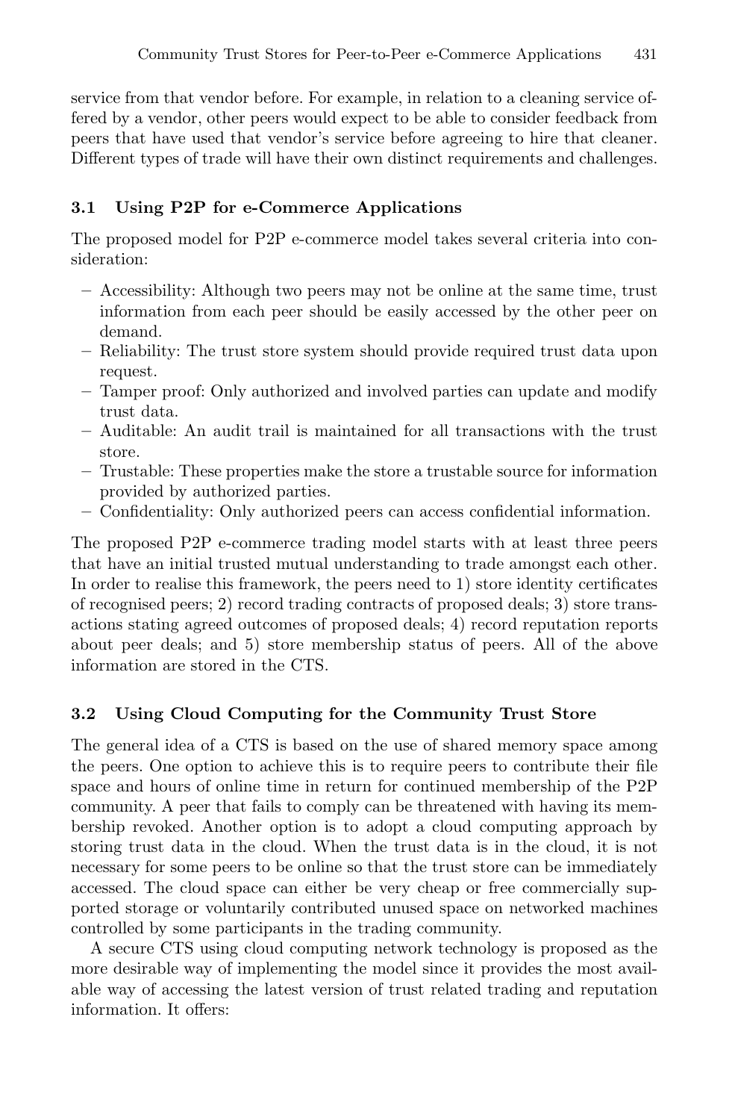service from that vendor before. For example, in relation to a cleaning service offered by a vendor, other peers would expect to be able to consider feedback from peers that have used that vendor's service before agreeing to hire that cleaner. Different types of trade will have their own distinct requirements and challenges.

## **3.1 Using P2P for e-Commerce Applications**

The proposed model for P2P e-commerce model takes several criteria into consideration:

- **–** Accessibility: Although two peers may not be online at the same time, trust information from each peer should be easily accessed by the other peer on demand.
- **–** Reliability: The trust store system should provide required trust data upon request.
- **–** Tamper proof: Only authorized and involved parties can update and modify trust data.
- **–** Auditable: An audit trail is maintained for all transactions with the trust store.
- **–** Trustable: These properties make the store a trustable source for information provided by authorized parties.
- **–** Confidentiality: Only authorized peers can access confidential information.

The proposed P2P e-commerce trading model starts with at least three peers that have an initial trusted mutual understanding to trade amongst each other. In order to realise this framework, the peers need to 1) store identity certificates of recognised peers; 2) record trading contracts of proposed deals; 3) store transactions stating agreed outcomes of proposed deals; 4) record reputation reports about peer deals; and 5) store membership status of peers. All of the above information are stored in the CTS.

### **3.2 Using Cloud Computing for the Community Trust Store**

The general idea of a CTS is based on the use of shared memory space among the peers. One option to achieve this is to require peers to contribute their file space and hours of online time in return for continued membership of the P2P community. A peer that fails to comply can be threatened with having its membership revoked. Another option is to adopt a cloud computing approach by storing trust data in the cloud. When the trust data is in the cloud, it is not necessary for some peers to be online so that the trust store can be immediately accessed. The cloud space can either be very cheap or free commercially supported storage or voluntarily contributed unused space on networked machines controlled by some participants in the trading community.

A secure CTS using cloud computing network technology is proposed as the more desirable way of implementing the model since it provides the most available way of accessing the latest version of trust related trading and reputation information. It offers: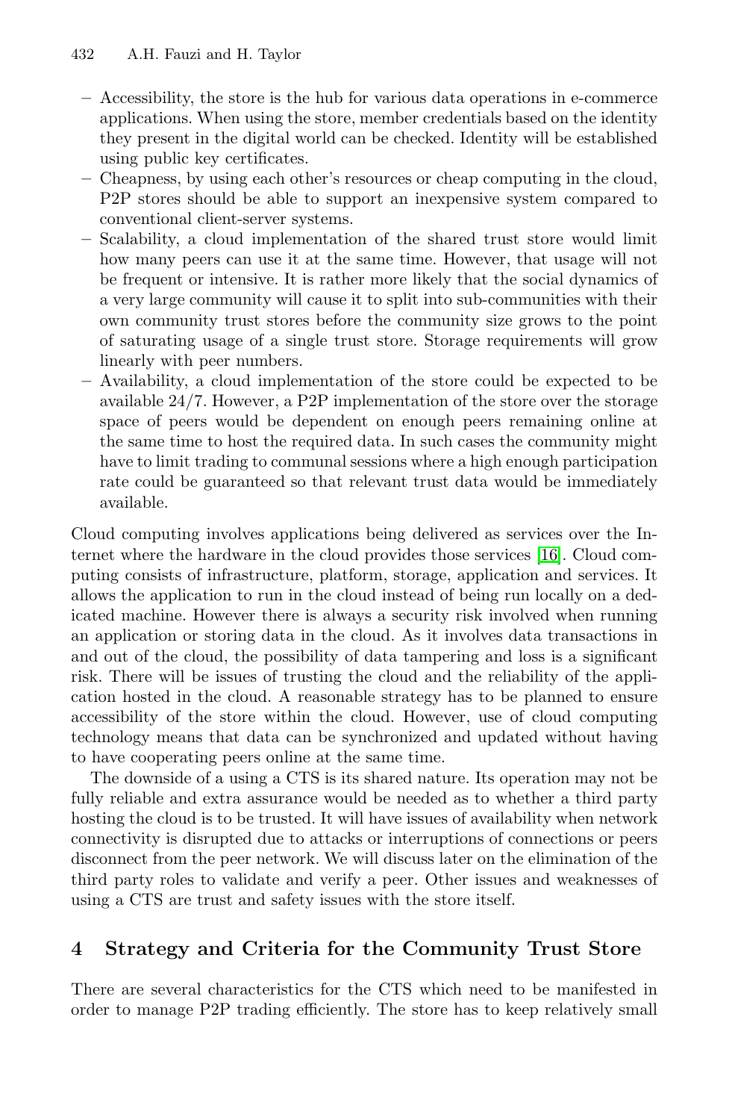- **–** Accessibility, the store is the hub for various data operations in e-commerce applications. When using the store, member credentials based on the identity they present in the digital world can be checked. Identity will be established using public key certificates.
- **–** Cheapness, by using each other's resources or cheap computing in the cloud, P2P stores should be able to support an inexpensive system compared to conventional client-server systems.
- **–** Scalability, a cloud implementation of the shared trust store would limit how many peers can use it at the same time. However, that usage will not be frequent or intensive. It is rather more likely that the social dynamics of a very large community will cause it to split into sub-communities with their own community trust stores before the community size grows to the point of saturating usage of a single trust store. Storage requirements will grow linearly with peer numbers.
- **–** Availability, a cloud implementation of the store could be expected to be available 24/7. However, a P2P impleme[ntat](#page-15-1)ion of the store over the storage space of peers would be dependent on enough peers remaining online at the same time to host the required data. In such cases the community might have to limit trading to communal sessions where a high enough participation rate could be guaranteed so that relevant trust data would be immediately available.

Cloud computing involves applications being delivered as services over the Internet where the hardware in the cloud provides those services [16]. Cloud computing consists of infrastructure, platform, storage, application and services. It allows the application to run in the cloud instead of being run locally on a dedicated machine. However there is always a security risk involved when running an application or storing data in the cloud. As it involves data transactions in and out of the cloud, the possibility of data tampering and loss is a significant risk. There will be issues of trusting the cloud and the reliability of the application hosted in the cloud. A reasonable strategy has to be planned to ensure accessibility of the store within the cloud. However, use of cloud computing technology means that data can be synchronized and updated without having to have cooperating peers online at the same time.

<span id="page-5-0"></span>The downside of a using a CTS is its shared nature. Its operation may not be fully reliable and extra assurance would be needed as to whether a third party hosting the cloud is to be trusted. It will have issues of availability when network connectivity is disrupted due to attacks or interruptions of connections or peers disconnect from the peer network. We will discuss later on the elimination of the third party roles to validate and verify a peer. Other issues and weaknesses of using a CTS are trust and safety issues with the store itself.

# **4 Strategy and Criteria for the Community Trust Store**

There are several characteristics for the CTS which need to be manifested in order to manage P2P trading efficiently. The store has to keep relatively small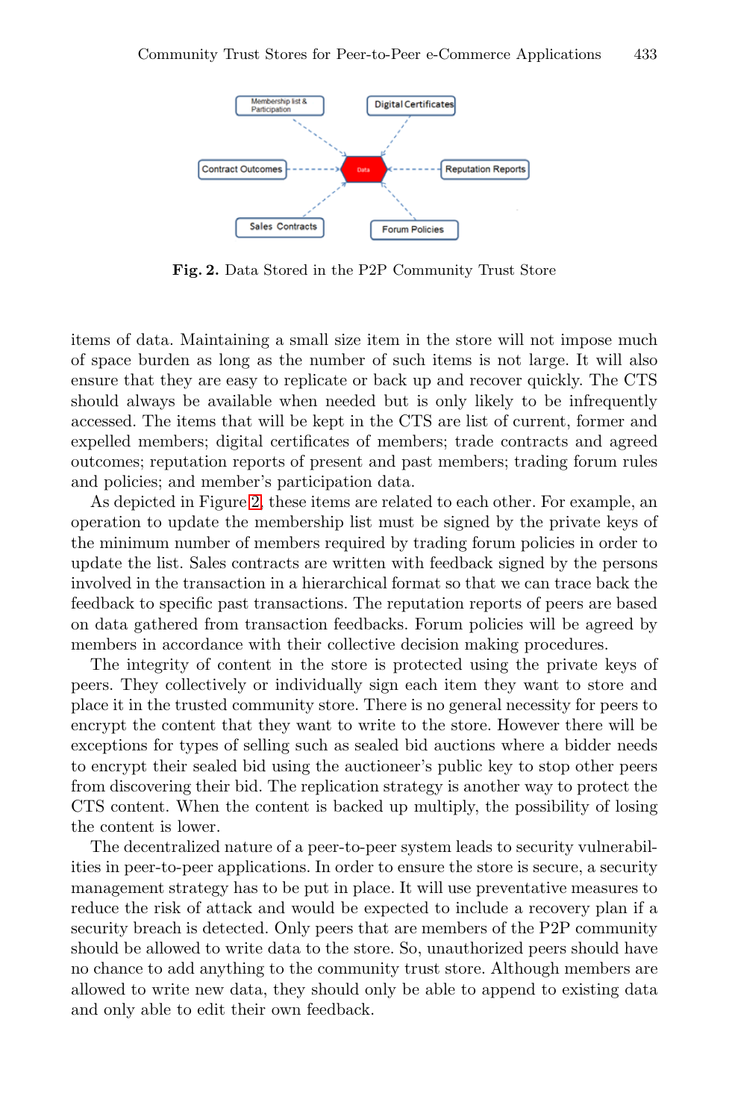<span id="page-6-0"></span>

**Fig. 2.** Data Stored in the P2P Community Trust Store

item[s o](#page-6-0)f data. Maintaining a small size item in the store will not impose much of space burden as long as the number of such items is not large. It will also ensure that they are easy to replicate or back up and recover quickly. The CTS should always be available when needed but is only likely to be infrequently accessed. The items that will be kept in the CTS are list of current, former and expelled members; digital certificates of members; trade contracts and agreed outcomes; reputation reports of present and past members; trading forum rules and policies; and member's participation data.

As depicted in Figure 2, these items are related to each other. For example, an operation to update the membership list must be signed by the private keys of the minimum number of members required by trading forum policies in order to update the list. Sales contracts are written with feedback signed by the persons involved in the transaction in a hierarchical format so that we can trace back the feedback to specific past transactions. The reputation reports of peers are based on data gathered from transaction feedbacks. Forum policies will be agreed by members in accordance with their collective decision making procedures.

The integrity of content in the store is protected using the private keys of peers. They collectively or individually sign each item they want to store and place it in the trusted community store. There is no general necessity for peers to encrypt the content that they want to write to the store. However there will be exceptions for types of selling such as sealed bid auctions where a bidder needs to encrypt their sealed bid using the auctioneer's public key to stop other peers from discovering their bid. The replication strategy is another way to protect the CTS content. When the content is backed up multiply, the possibility of losing the content is lower.

The decentralized nature of a peer-to-peer system leads to security vulnerabilities in peer-to-peer applications. In order to ensure the store is secure, a security management strategy has to be put in place. It will use preventative measures to reduce the risk of attack and would be expected to include a recovery plan if a security breach is detected. Only peers that are members of the P2P community should be allowed to write data to the store. So, unauthorized peers should have no chance to add anything to the community trust store. Although members are allowed to write new data, they should only be able to append to existing data and only able to edit their own feedback.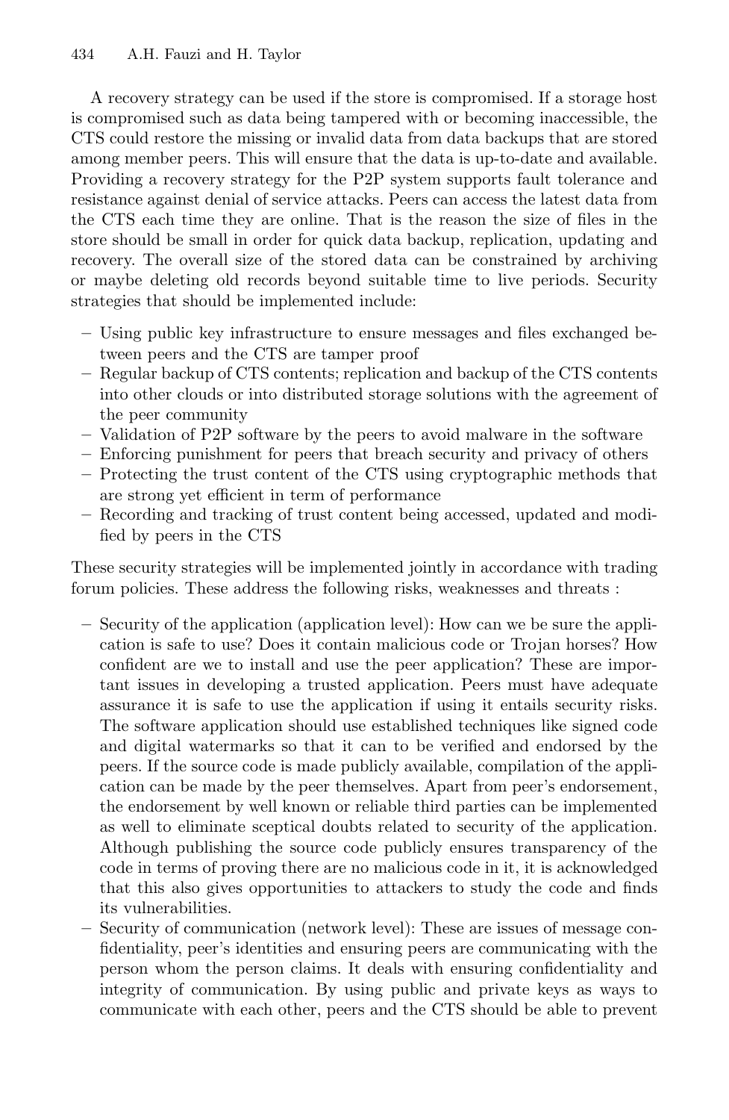A recovery strategy can be used if the store is compromised. If a storage host is compromised such as data being tampered with or becoming inaccessible, the CTS could restore the missing or invalid data from data backups that are stored among member peers. This will ensure that the data is up-to-date and available. Providing a recovery strategy for the P2P system supports fault tolerance and resistance against denial of service attacks. Peers can access the latest data from the CTS each time they are online. That is the reason the size of files in the store should be small in order for quick data backup, replication, updating and recovery. The overall size of the stored data can be constrained by archiving or maybe deleting old records beyond suitable time to live periods. Security strategies that should be implemented include:

- **–** Using public key infrastructure to ensure messages and files exchanged between peers and the CTS are tamper proof
- **–** Regular backup of CTS contents; replication and backup of the CTS contents into other clouds or into distributed storage solutions with the agreement of the peer community
- **–** Validation of P2P software by the peers to avoid malware in the software
- **–** Enforcing punishment for peers that breach security and privacy of others
- **–** Protecting the trust content of the CTS using cryptographic methods that are strong yet efficient in term of performance
- **–** Recording and tracking of trust content being accessed, updated and modified by peers in the CTS

These security strategies will be implemented jointly in accordance with trading forum policies. These address the following risks, weaknesses and threats :

- **–** Security of the application (application level): How can we be sure the application is safe to use? Does it contain malicious code or Trojan horses? How confident are we to install and use the peer application? These are important issues in developing a trusted application. Peers must have adequate assurance it is safe to use the application if using it entails security risks. The software application should use established techniques like signed code and digital watermarks so that it can to be verified and endorsed by the peers. If the source code is made publicly available, compilation of the application can be made by the peer themselves. Apart from peer's endorsement, the endorsement by well known or reliable third parties can be implemented as well to eliminate sceptical doubts related to security of the application. Although publishing the source code publicly ensures transparency of the code in terms of proving there are no malicious code in it, it is acknowledged that this also gives opportunities to attackers to study the code and finds its vulnerabilities.
- **–** Security of communication (network level): These are issues of message confidentiality, peer's identities and ensuring peers are communicating with the person whom the person claims. It deals with ensuring confidentiality and integrity of communication. By using public and private keys as ways to communicate with each other, peers and the CTS should be able to prevent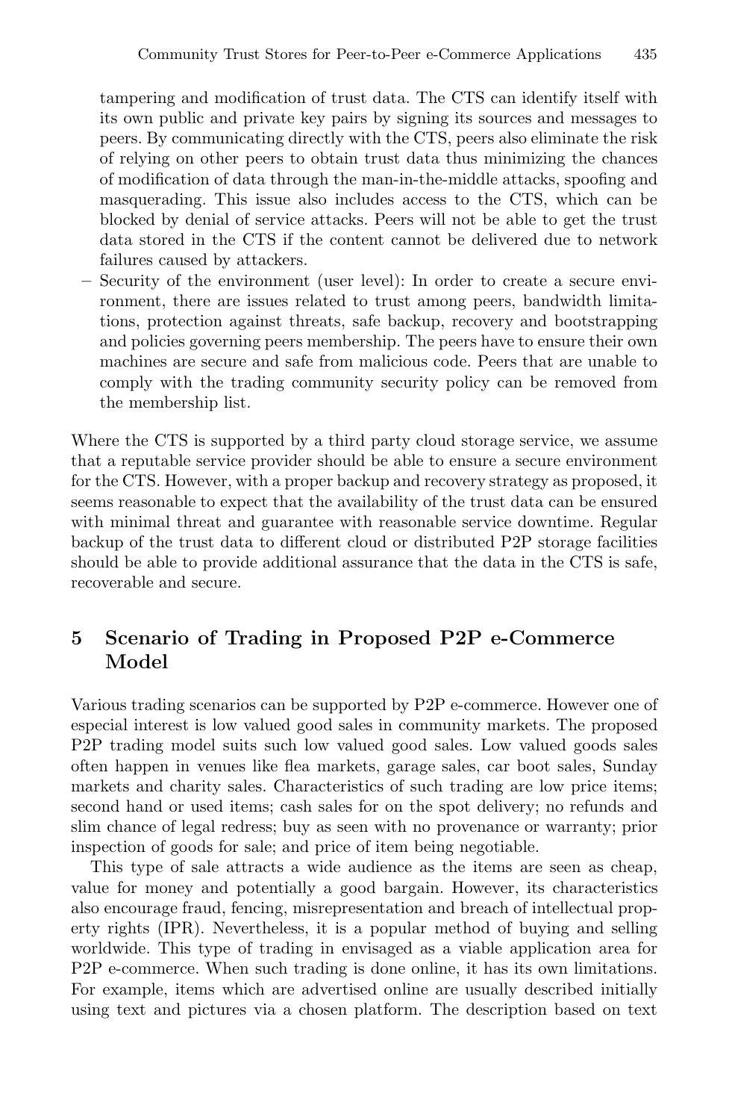tampering and modification of trust data. The CTS can identify itself with its own public and private key pairs by signing its sources and messages to peers. By communicating directly with the CTS, peers also eliminate the risk of relying on other peers to obtain trust data thus minimizing the chances of modification of data through the man-in-the-middle attacks, spoofing and masquerading. This issue also includes access to the CTS, which can be blocked by denial of service attacks. Peers will not be able to get the trust data stored in the CTS if the content cannot be delivered due to network failures caused by attackers.

**–** Security of the environment (user level): In order to create a secure environment, there are issues related to trust among peers, bandwidth limitations, protection against threats, safe backup, recovery and bootstrapping and policies governing peers membership. The peers have to ensure their own machines are secure and safe from malicious code. Peers that are unable to comply with the trading community security policy can be removed from the membership list.

Where the CTS is supported by a third party cloud storage service, we assume that a reputable service provider should be able to ensure a secure environment for the CTS. However, with a proper backup and recovery strategy as proposed, it seems reasonable to expect that the availability of the trust data can be ensured with minimal threat and guarantee with reasonable service downtime. Regular backup of the trust data to different cloud or distributed P2P storage facilities should be able to provide additional assurance that the data in the CTS is safe, recoverable and secure.

# <span id="page-8-0"></span>**5 Scenario of Trading in Proposed P2P e-Commerce Model**

Various trading scenarios can be supported by P2P e-commerce. However one of especial interest is low valued good sales in community markets. The proposed P2P trading model suits such low valued good sales. Low valued goods sales often happen in venues like flea markets, garage sales, car boot sales, Sunday markets and charity sales. Characteristics of such trading are low price items; second hand or used items; cash sales for on the spot delivery; no refunds and slim chance of legal redress; buy as seen with no provenance or warranty; prior inspection of goods for sale; and price of item being negotiable.

This type of sale attracts a wide audience as the items are seen as cheap, value for money and potentially a good bargain. However, its characteristics also encourage fraud, fencing, misrepresentation and breach of intellectual property rights (IPR). Nevertheless, it is a popular method of buying and selling worldwide. This type of trading in envisaged as a viable application area for P2P e-commerce. When such trading is done online, it has its own limitations. For example, items which are advertised online are usually described initially using text and pictures via a chosen platform. The description based on text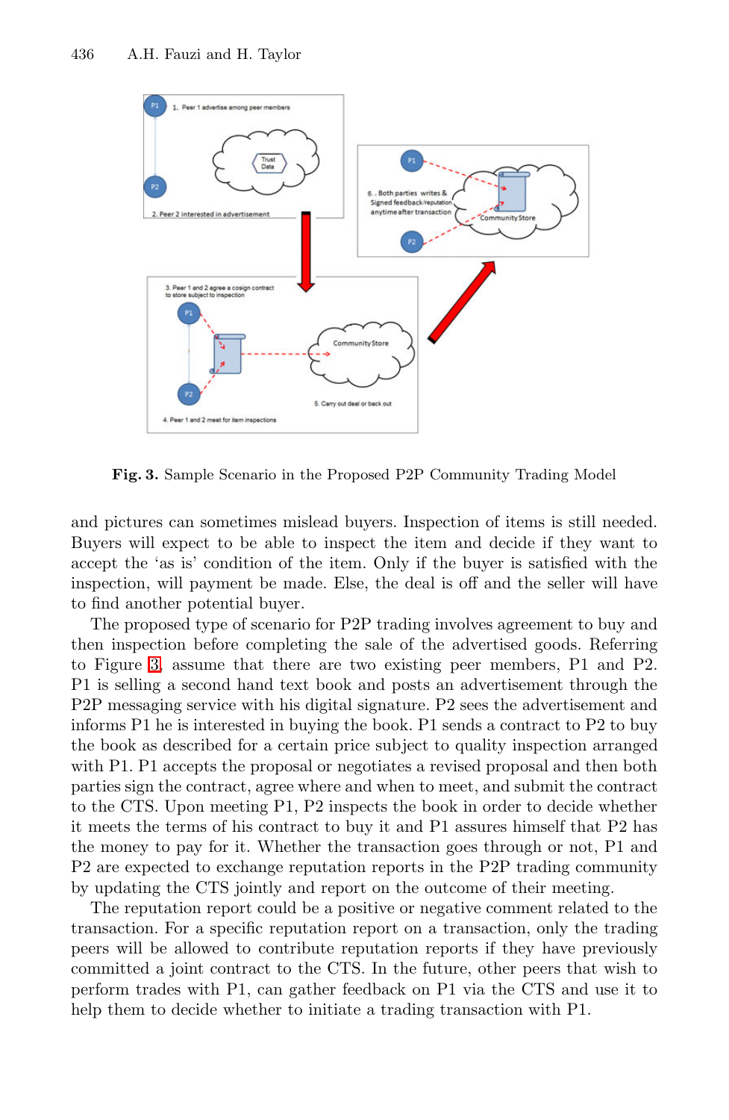

**Fig. 3.** Sample Scenario in the Proposed P2P Community Trading Model

and pictures can sometimes mislead buyers. Inspection of items is still needed. Buyers will expect to be able to inspect the item and decide if they want to accept the 'as is' condition of the item. Only if the buyer is satisfied with the inspection, will payment be made. Else, the deal is off and the seller will have to find another potential buyer.

The proposed type of scenario for P2P trading involves agreement to buy and then inspection before completing the sale of the advertised goods. Referring to Figure 3, assume that there are two existing peer members, P1 and P2. P1 is selling a second hand text book and posts an advertisement through the P2P messaging service with his digital signature. P2 sees the advertisement and informs P1 he is interested in buying the book. P1 sends a contract to P2 to buy the book as described for a certain price subject to quality inspection arranged with P1. P1 accepts the proposal or negotiates a revised proposal and then both parties sign the contract, agree where and when to meet, and submit the contract to the CTS. Upon meeting P1, P2 inspects the book in order to decide whether it meets the terms of his contract to buy it and P1 assures himself that P2 has the money to pay for it. Whether the transaction goes through or not, P1 and P2 are expected to exchange reputation reports in the P2P trading community by updating the CTS jointly and report on the outcome of their meeting.

The reputation report could be a positive or negative comment related to the transaction. For a specific reputation report on a transaction, only the trading peers will be allowed to contribute reputation reports if they have previously committed a joint contract to the CTS. In the future, other peers that wish to perform trades with P1, can gather feedback on P1 via the CTS and use it to help them to decide whether to initiate a trading transaction with P1.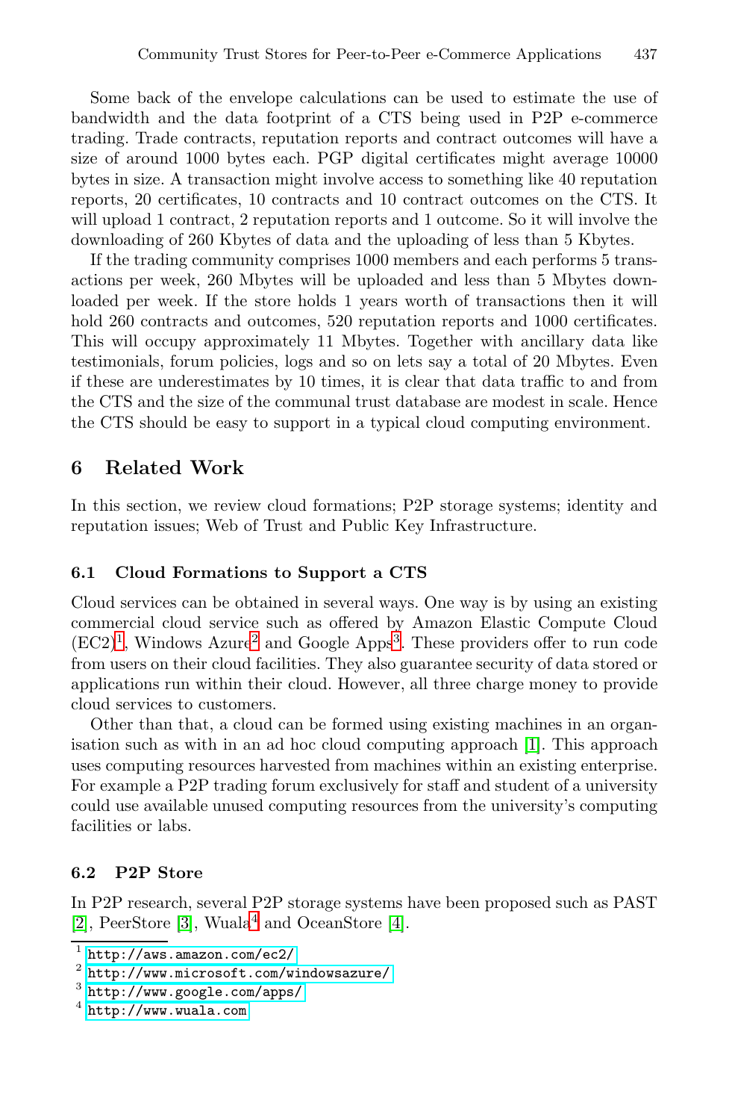Some back of the envelope calculations can be used to estimate the use of bandwidth and the data footprint of a CTS being used in P2P e-commerce trading. Trade contracts, reputation reports and contract outcomes will have a size of around 1000 bytes each. PGP digital certificates might average 10000 bytes in size. A transaction might involve access to something like 40 reputation reports, 20 certificates, 10 contracts and 10 contract outcomes on the CTS. It will upload 1 contract, 2 reputation reports and 1 outcome. So it will involve the downloading of 260 Kbytes of data and the uploading of less than 5 Kbytes.

If the trading community comprises 1000 members and each performs 5 transactions per week, 260 Mbytes will be uploaded and less than 5 Mbytes downloaded per week. If the store holds 1 years worth of transactions then it will hold 260 contracts and outcomes, 520 reputation reports and 1000 certificates. This will occupy approximately 11 Mbytes. Together with ancillary data like testimonials, forum policies, logs and so on lets say a total of 20 Mbytes. Even if these are underestimates by 10 times, it is clear that data traffic to and from the CTS and the size of the communal trust database are modest in scale. Hence the CTS should be easy to support in a typical cloud computing environment.

### **6 [R](#page-10-0)elated Work**

In this section, we review cloud formations; P2P storage systems; identity and reputation issues; Web of Trust and Public Key Infrastructure.

#### **6.1 Cloud Formations to Support a CTS**

Cloud services can be obtained in several [wa](#page-14-0)ys. One way is by using an existing commercial cloud service such as offered by Amazon Elastic Compute Cloud  $(EC2)^1$ , Windows Azure<sup>2</sup> and Google Apps<sup>3</sup>. These providers offer to run code from users on their cloud facilities. They also guarantee security of data stored or applications run within their cloud. However, all three charge money to provide cloud services to customers.

Other than that, a cloud can be formed using existing machines in an organisation such as with in an ad hoc cloud computing approach [1]. This approach uses [co](#page-10-1)mputing resource[s h](#page-15-2)arvested from machines within an existing enterprise. For example a P2P trading forum exclusively for staff and student of a university [could](http://aws.amazon.com/ec2/) [use](http://aws.amazon.com/ec2/) [av](http://aws.amazon.com/ec2/)ailable unused computing resources from the university's computing [facilities](http://www.microsoft.com/windowsazure/)[or](http://www.microsoft.com/windowsazure/)[labs.](http://www.microsoft.com/windowsazure/)

# <span id="page-10-1"></span><span id="page-10-0"></span>**6.2 P2P Store**

In P2P research, several P2P storage systems have been proposed such as PAST [2], PeerStore [3], Wuala<sup>4</sup> and OceanStore [4].

<sup>1</sup> http://aws.amazon.com/ec2/

<sup>2</sup> http://www.microsoft.com/windowsazure/

<sup>3</sup> http://www.google.com/apps/

<sup>4</sup> http://www.wuala.com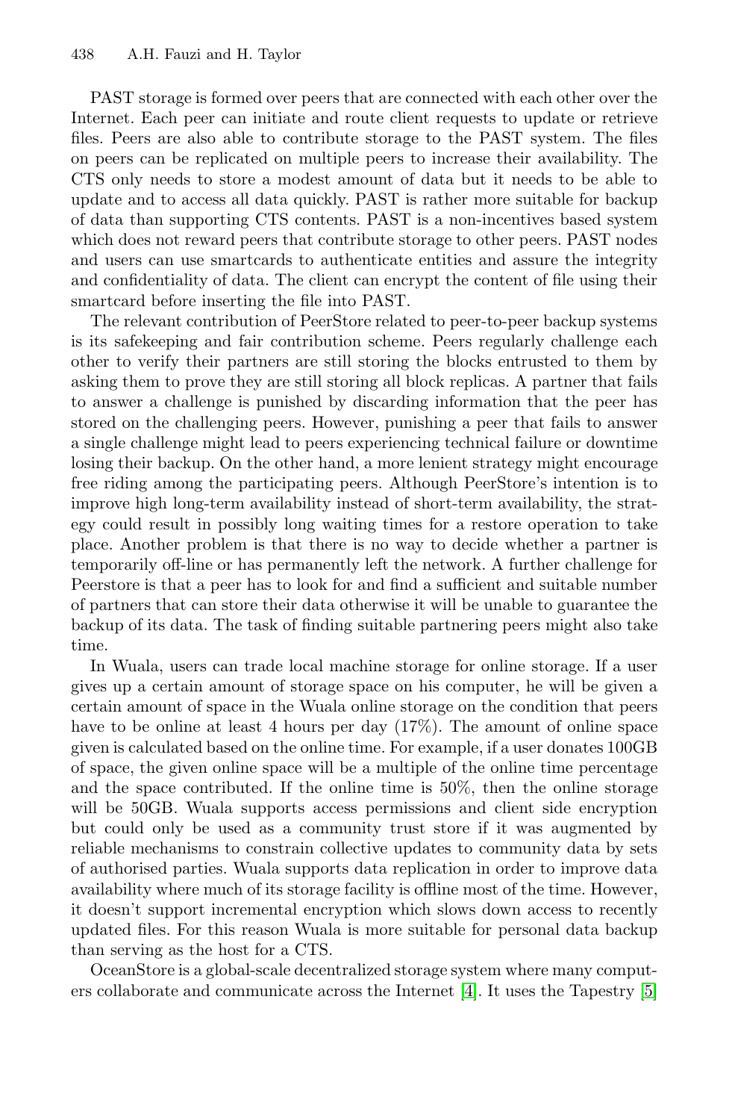PAST storage is formed over peers that are connected with each other over the Internet. Each peer can initiate and route client requests to update or retrieve files. Peers are also able to contribute storage to the PAST system. The files on peers can be replicated on multiple peers to increase their availability. The CTS only needs to store a modest amount of data but it needs to be able to update and to access all data quickly. PAST is rather more suitable for backup of data than supporting CTS contents. PAST is a non-incentives based system which does not reward peers that contribute storage to other peers. PAST nodes and users can use smartcards to authenticate entities and assure the integrity and confidentiality of data. The client can encrypt the content of file using their smartcard before inserting the file into PAST.

The relevant contribution of PeerStore related to peer-to-peer backup systems is its safekeeping and fair contribution scheme. Peers regularly challenge each other to verify their partners are still storing the blocks entrusted to them by asking them to prove they are still storing all block replicas. A partner that fails to answer a challenge is punished by discarding information that the peer has stored on the challenging peers. However, punishing a peer that fails to answer a single challenge might lead to peers experiencing technical failure or downtime losing their backup. On the other hand, a more lenient strategy might encourage free riding among the participating peers. Although PeerStore's intention is to improve high long-term availability instead of short-term availability, the strategy could result in possibly long waiting times for a restore operation to take place. Another problem is that there is no way to decide whether a partner is temporarily off-line or has permanently left the network. A further challenge for Peerstore is that a peer has to look for and find a sufficient and suitable number of partners that can store their data otherwise it will be unable to guarantee the backup of its data. The task of finding suitable partnering peers might also take time.

In Wuala, users can trade local machine storage for online storage. If a user gives up a certain amount of storage space on his computer, he will be given a certain amount of space in the Wuala online storage on the condition that peers have to be online at least 4 hours per day  $(17\%)$ . The amount of online space given is calculated based on the online time. For example, if a user donates 100GB of space, the given online space will be a multiple of the online time percentage and the space contributed. If the online time is 50%, then the online storage will be 50GB. Wuala supports access permissions and client side encryption but could only be used as a co[mm](#page-15-2)unity trust store if i[t](#page-15-3) was augmented by reliable mechanisms to constrain collective updates to community data by sets of authorised parties. Wuala supports data replication in order to improve data availability where much of its storage facility is offline most of the time. However, it doesn't support incremental encryption which slows down access to recently updated files. For this reason Wuala is more suitable for personal data backup than serving as the host for a CTS.

OceanStore is a global-scale decentralized storage system where many computers collaborate and communicate across the Internet [4]. It uses the Tapestry [5]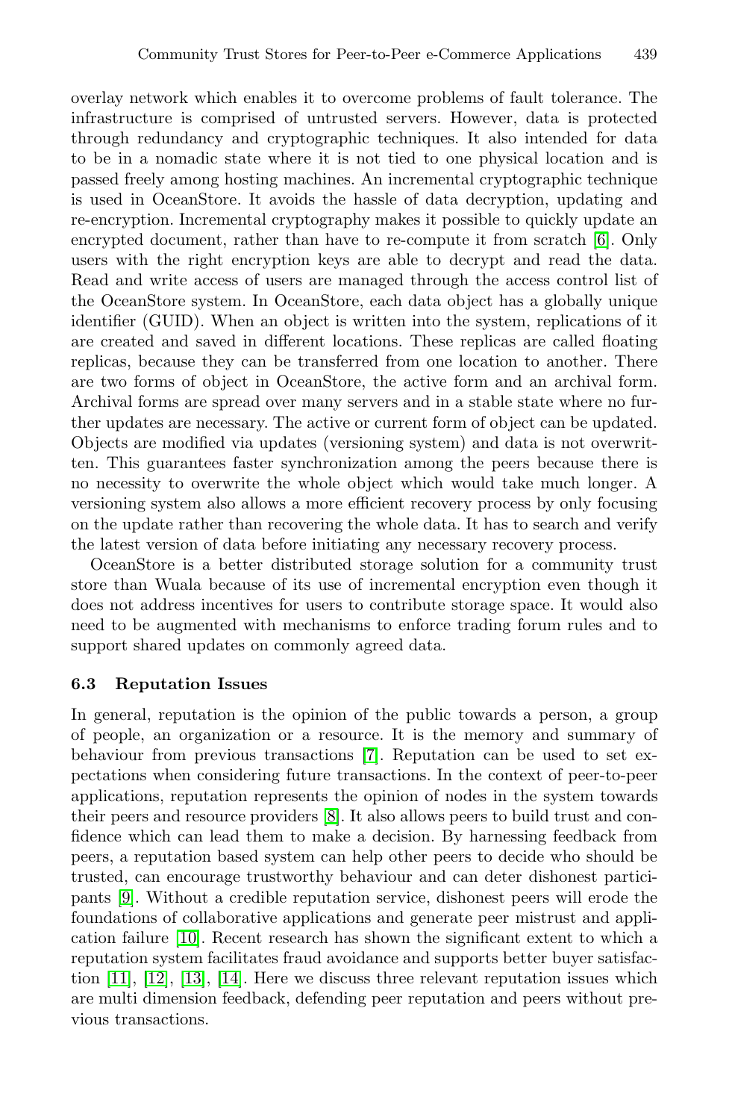overlay network which enables it to overcome prob[lem](#page-15-4)s of fault tolerance. The infrastructure is comprised of untrusted servers. However, data is protected through redundancy and cryptographic techniques. It also intended for data to be in a nomadic state where it is not tied to one physical location and is passed freely among hosting machines. An incremental cryptographic technique is used in OceanStore. It avoids the hassle of data decryption, updating and re-encryption. Incremental cryptography makes it possible to quickly update an encrypted document, rather than have to re-compute it from scratch [6]. Only users with the right encryption keys are able to decrypt and read the data. Read and write access of users are managed through the access control list of the OceanStore system. In OceanStore, each data object has a globally unique identifier (GUID). When an object is written into the system, replications of it are created and saved in different locations. These replicas are called floating replicas, because they can be transferred from one location to another. There are two forms of object in OceanStore, the active form and an archival form. Archival forms are spread over many servers and in a stable state where no further updates are necessary. The active or current form of object can be updated. Objects are modified via updates (versioning system) and data is not overwritten. This guarantees faster synchronization among the peers because there is no necessity to overwrite the whole object which would take much longer. A versioning system also allows a more efficient recovery process by only focusing on the update rather than recovering the whole data. It has to search and verify the latest version of data before initiating any necessary recovery process.

OceanStore is a better distributed storage solution for a community trust store than Wuala because of its use of incremental encryption even though it does not address inc[en](#page-15-5)tives for users to contribute storage space. It would also need to be augmented with mechanisms to enforce trading forum rules and to support shared [up](#page-15-6)dates on commonly agreed data.

#### **6.3 Reputation Issues**

In general, reputation is the opinion of the public towards a person, a group of people, an organization or a resource. It is the memory and summary of behaviour from previous transactions [7]. Reputation can be used to set expectations when considering future transactions. In the context of peer-to-peer applications, reputation represents the opinion of nodes in the system towards t[heir](#page-15-7) peers and resource providers [8]. It also allows peers to build trust and confidence which can lead them to make a decision. By harnessing feedback from peers, a reputation based system can help other peers to decide who should be trusted, can encourage trustworthy behaviour and can deter dishonest participants [9]. Without a credible reputation service, dishonest peers will erode the foundations of collaborative applications and generate peer mistrust and application failure [10]. Recent research has shown the significant extent to which a reputation system facilitates fraud avoidance and supports better buyer satisfaction [11], [12], [13], [14]. Here we discuss three relevant reputation issues which are multi dimension feedback, defending peer reputation and peers without previous transactions.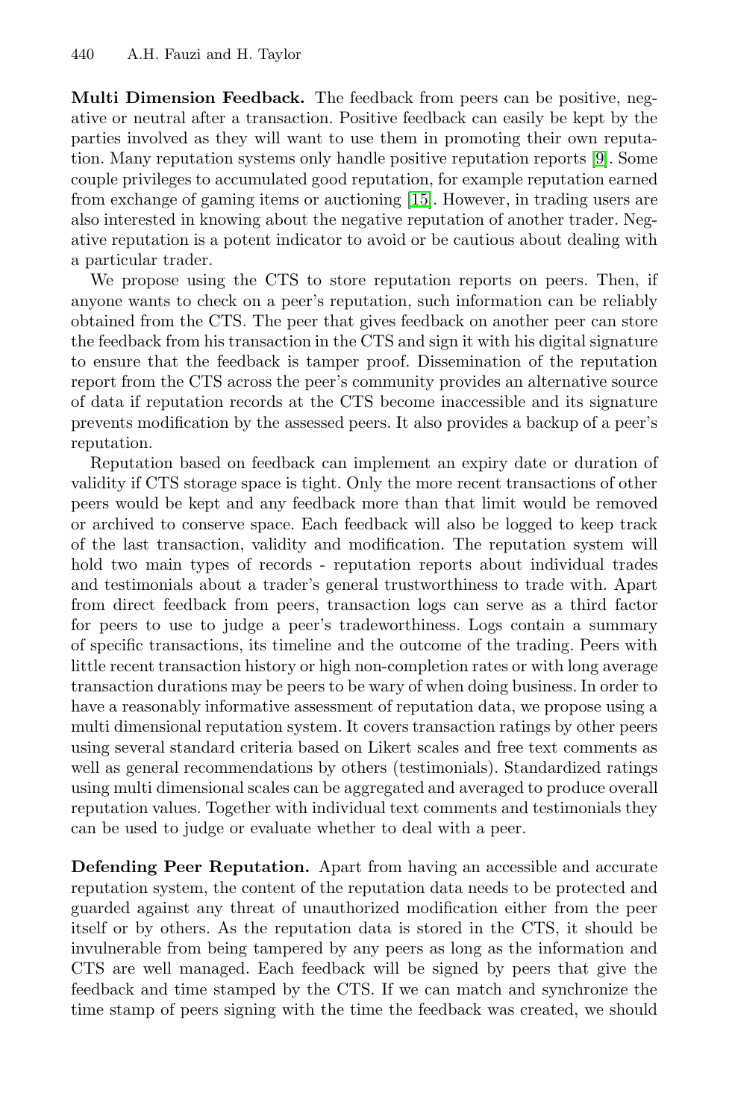**Multi Dimension Feedback.** The feedback from peers can be positive, negative or neutral after a transaction. Positive feedback can easily be kept by the parties involved as they will want to use them in promoting their own reputation. Many reputation systems only handle positive reputation reports [9]. Some couple privileges to accumulated good reputation, for example reputation earned from exchange of gaming items or auctioning [15]. However, in trading users are also interested in knowing about the negative reputation of another trader. Negative reputation is a potent indicator to avoid or be cautious about dealing with a particular trader.

We propose using the CTS to store reputation reports on peers. Then, if anyone wants to check on a peer's reputation, such information can be reliably obtained from the CTS. The peer that gives feedback on another peer can store the feedback from his transaction in the CTS and sign it with his digital signature to ensure that the feedback is tamper proof. Dissemination of the reputation report from the CTS across the peer's community provides an alternative source of data if reputation records at the CTS become inaccessible and its signature prevents modification by the assessed peers. It also provides a backup of a peer's reputation.

Reputation based on feedback can implement an expiry date or duration of validity if CTS storage space is tight. Only the more recent transactions of other peers would be kept and any feedback more than that limit would be removed or archived to conserve space. Each feedback will also be logged to keep track of the last transaction, validity and modification. The reputation system will hold two main types of records - reputation reports about individual trades and testimonials about a trader's general trustworthiness to trade with. Apart from direct feedback from peers, transaction logs can serve as a third factor for peers to use to judge a peer's tradeworthiness. Logs contain a summary of specific transactions, its timeline and the outcome of the trading. Peers with little recent transaction history or high non-completion rates or with long average transaction durations may be peers to be wary of when doing business. In order to have a reasonably informative assessment of reputation data, we propose using a multi dimensional reputation system. It covers transaction ratings by other peers using several standard criteria based on Likert scales and free text comments as well as general recommendations by others (testimonials). Standardized ratings using multi dimensional scales can be aggregated and averaged to produce overall reputation values. Together with individual text comments and testimonials they can be used to judge or evaluate whether to deal with a peer.

**Defending Peer Reputation.** Apart from having an accessible and accurate reputation system, the content of the reputation data needs to be protected and guarded against any threat of unauthorized modification either from the peer itself or by others. As the reputation data is stored in the CTS, it should be invulnerable from being tampered by any peers as long as the information and CTS are well managed. Each feedback will be signed by peers that give the feedback and time stamped by the CTS. If we can match and synchronize the time stamp of peers signing with the time the feedback was created, we should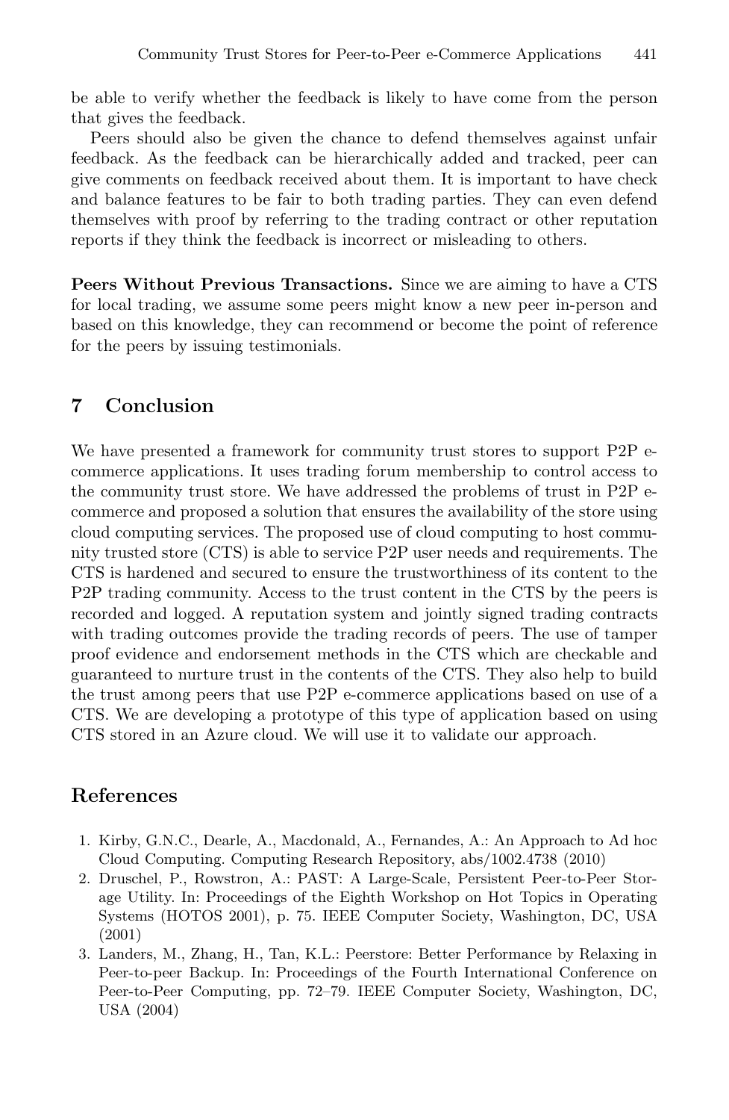be able to verify whether the feedback is likely to have come from the person that gives the feedback.

Peers should also be given the chance to defend themselves against unfair feedback. As the feedback can be hierarchically added and tracked, peer can give comments on feedback received about them. It is important to have check and balance features to be fair to both trading parties. They can even defend themselves with proof by referring to the trading contract or other reputation reports if they think the feedback is incorrect or misleading to others.

**Peers Without Previous Transactions.** Since we are aiming to have a CTS for local trading, we assume some peers might know a new peer in-person and based on this knowledge, they can recommend or become the point of reference for the peers by issuing testimonials.

# **7 Conclusion**

We have presented a framework for community trust stores to support P2P ecommerce applications. It uses trading forum membership to control access to the community trust store. We have addressed the problems of trust in P2P ecommerce and proposed a solution that ensures the availability of the store using cloud computing services. The proposed use of cloud computing to host community trusted store (CTS) is able to service P2P user needs and requirements. The CTS is hardened and secured to ensure the trustworthiness of its content to the P2P trading community. Access to the trust content in the CTS by the peers is recorded and logged. A reputation system and jointly signed trading contracts with trading outcomes provide the trading records of peers. The use of tamper proof evidence and endorsement methods in the CTS which are checkable and guaranteed to nurture trust in the contents of the CTS. They also help to build the trust among peers that use P2P e-commerce applications based on use of a CTS. We are developing a prototype of this type of application based on using CTS stored in an Azure cloud. We will use it to validate our approach.

# **References**

- <span id="page-14-0"></span>1. Kirby, G.N.C., Dearle, A., Macdonald, A., Fernandes, A.: An Approach to Ad hoc Cloud Computing. Computing Research Repository, abs/1002.4738 (2010)
- 2. Druschel, P., Rowstron, A.: PAST: A Large-Scale, Persistent Peer-to-Peer Storage Utility. In: Proceedings of the Eighth Workshop on Hot Topics in Operating Systems (HOTOS 2001), p. 75. IEEE Computer Society, Washington, DC, USA (2001)
- 3. Landers, M., Zhang, H., Tan, K.L.: Peerstore: Better Performance by Relaxing in Peer-to-peer Backup. In: Proceedings of the Fourth International Conference on Peer-to-Peer Computing, pp. 72–79. IEEE Computer Society, Washington, DC, USA (2004)